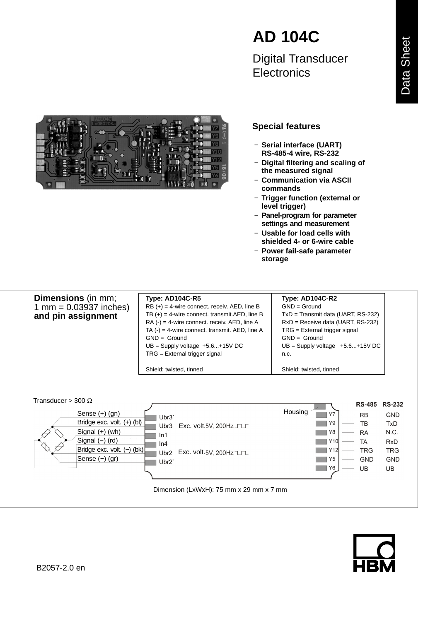

Digital Transducer **Flectronics** 



## **Special features**

- − **Serial interface (UART) RS-485-4 wire, RS-232**
- − **Digital filtering and scaling of the measured signal**
- − **Communication via ASCII commands**
- − **Trigger function (external or level trigger)**
- − **Panel-program for parameter settings and measurement**
- − **Usable for load cells with shielded 4- or 6-wire cable**
- − **Power fail-safe parameter storage**

**Dimensions** (in mm; 1 mm =  $0.03937$  inches) **and pin assignment**

**Type: AD104C-R5 Type: AD104C-R2**  $RB (+) = 4$ -wire connect. receiv. AED, line B GND = Ground

TB  $(+)$  = 4-wire connect. transmit. AED, line B  $\parallel$  TxD = Transmit data (UART, RS-232)  $RA (-) = 4$ -wire connect. receiv. AED, line A RxD = Receive data (UART, RS-232) TA  $(-) = 4$ -wire connect. transmit. AED, line A TRG = External trigger signal GND = Ground GND = Ground  $UB =$  Supply voltage  $+5.6...+15$  VDC UB = Supply voltage  $+5.6...+15$  VDC  $TRG =$  External trigger signal  $\vert$  n.c.

Shield: twisted, tinned Shield: twisted, tinned



Dimension (LxWxH): 75 mm x 29 mm x 7 mm